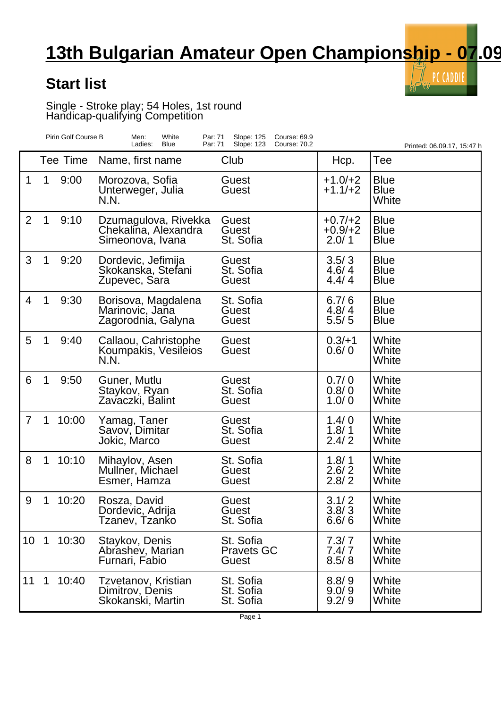## **13th Bulgarian Amateur Open Championship - 07.09**

 $\tilde{\mathbb{I}}$  PC CADDIE

V)

## **Start list**

Single - Stroke play; 54 Holes, 1st round Handicap-qualifying Competition

|                 |             | Pirin Golf Course B | White<br>Men:<br>Par: 71<br>Ladies:<br>Par: 71<br><b>Blue</b>    | Slope: 125<br>Course: 69.9<br>Slope: 123<br>Course: 70.2 |                                 | Printed: 06.09.17, 15:47 h                |
|-----------------|-------------|---------------------|------------------------------------------------------------------|----------------------------------------------------------|---------------------------------|-------------------------------------------|
|                 |             | Tee Time            | Name, first name                                                 | Club                                                     | Hcp.                            | Tee                                       |
| 1               | 1           | 9:00                | Morozova, Sofia<br>Unterweger, Julia<br>N.N.                     | Guest<br>Guest                                           | $+1.0/ +2$<br>$+1.1/+2$         | <b>Blue</b><br><b>Blue</b><br>White       |
| $\overline{2}$  | 1           | 9:10                | Dzumagulova, Rivekka<br>Chekalina, Alexandra<br>Simeonova, Ivana | Guest<br>Guest<br>St. Sofia                              | $+0.7/+2$<br>$+0.9/+2$<br>2.0/1 | <b>Blue</b><br><b>Blue</b><br><b>Blue</b> |
| 3               | 1           | 9:20                | Dordevic, Jefimija<br>Skokanska, Stefani<br>Zupevec, Sara        | Guest<br>St. Sofia<br>Guest                              | 3.5/3<br>4.6/4<br>4.4/4         | <b>Blue</b><br><b>Blue</b><br><b>Blue</b> |
| 4               | 1           | 9:30                | Borisova, Magdalena<br>Marinovic, Jaña<br>Zagorodnia, Galyna     | St. Sofia<br>Guest<br><b>Guest</b>                       | 6.7/6<br>4.8/4<br>5.5/5         | <b>Blue</b><br><b>Blue</b><br><b>Blue</b> |
| 5               | 1           | 9:40                | Callaou, Cahristophe<br>Koumpakis, Vesileios<br>N.N.             | Guest<br>Guest                                           | $0.3/+1$<br>0.6/0               | White<br>White<br>White                   |
| 6               | 1           | 9:50                | Guner, Mutlu<br>Staykov, Ryan<br>Zavaczki, Balint                | Guest<br>St. Sofia<br>Guest                              | 0.7/0<br>0.8/0<br>1.0/0         | White<br>White<br>White                   |
| $\overline{7}$  | 1           | 10:00               | Yamag, Taner<br>Savov, Dimitar<br>Jokic, Marco                   | Guest<br>St. Sofia<br>Guest                              | 1.4/0<br>1.8/1<br>2.4/2         | White<br>White<br>White                   |
| 8               | $\mathbf 1$ | 10:10               | Mihaylov, Asen<br>Mullner, Michael<br>Esmer, Hamza               | St. Sofia<br>Guest<br>Guest                              | 1.8/1<br>2.6/2<br>2.8/2         | White<br>White<br>White                   |
| 9               |             | 10:20               | Rosza, David<br>Dordevic, Adrija<br>Tzanev, Tzanko               | Guest<br>Guest<br>St. Sofia                              | 3.1/2<br>3.8/3<br>6.6/6         | White<br>White<br>White                   |
| 10 <sup>°</sup> | $\mathbf 1$ | 10:30               | Staykov, Denis<br>Abrashev, Marian<br>Furnari, Fabio             | St. Sofia<br><b>Pravets GC</b><br>Guest                  | 7.3/7<br>7.4/7<br>8.5/8         | White<br>White<br>White                   |
| 11              | 1           | 10:40               | Tzvetanov, Kristian<br>Dimitrov, Denis<br>Skokanski, Martin      | St. Sofia<br>St. Sofia<br>St. Sofia                      | 8.8/9<br>9.0/9<br>9.2/9         | White<br>White<br>White                   |